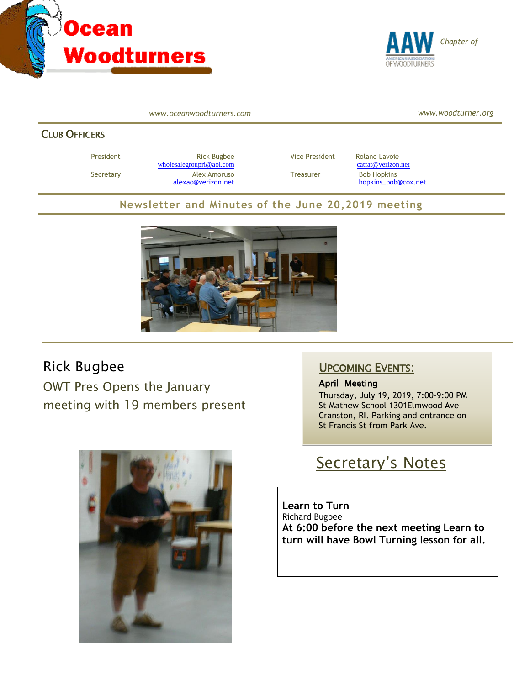



*www.oceanwoodturners.com*

*www.woodturner.org*

#### CLUB OFFICERS

President **Rick Bugbee Rick Bugbee Vice President** Roland Lavoie [wholesalegroupri@aol.com](mailto:wholesalegroupri@aol.com) [catfat@verizon.net](mailto:catfat@verizon.net) Secretary **Alex Amoruso** Treasurer Bob Hopkins

[alexao@verizon.net](mailto:alexao@verizon.net) [hopkins\\_bob@cox.net](mailto:hopkins_bob@cox.net)

#### **Newsletter and Minutes of the June 20,2019 meeting**



### Rick Bugbee

OWT Pres Opens the January meeting with 19 members present



### UPCOMING EVENTS:

April Meeting Thursday, July 19, 2019, 7:00–9:00 PM St Mathew School 1301Elmwood Ave Cranston, RI. Parking and entrance on St Francis St from Park Ave.

# Secretary's Notes

**Learn to Turn** Richard Bugbee **At 6:00 before the next meeting Learn to turn will have Bowl Turning lesson for all.**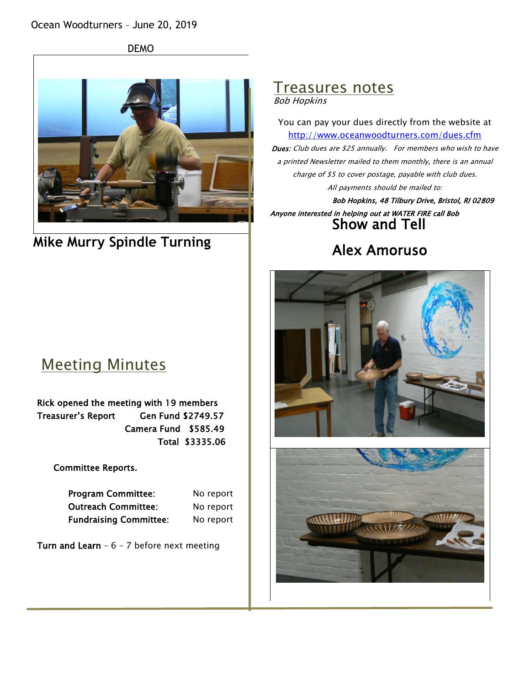DEMO



**Mike Murry Spindle Turning**

# Meeting Minutes

Rick opened the meeting with 19 members Treasurer's Report Gen Fund \$2749.57 Camera Fund \$585.49 Total \$3335.06

Committee Reports.

| <b>Program Committee:</b>     | No report |
|-------------------------------|-----------|
| <b>Outreach Committee:</b>    | No report |
| <b>Fundraising Committee:</b> | No report |

Turn and Learn -  $6 - 7$  before next meeting

# Treasures notes

Bob Hopkins

You can pay your dues directly from the website at <http://www.oceanwoodturners.com/dues.cfm> Dues: Club dues are \$25 annually. For members who wish to have a printed Newsletter mailed to them monthly, there is an annual charge of \$5 to cover postage, payable with club dues. All payments should be mailed to:

Bob Hopkins, 48 Tilbury Drive, Bristol, RI 02809 Anyone interested in helping out at WATER FIRE call Bob Show and Tell

### Alex Amoruso

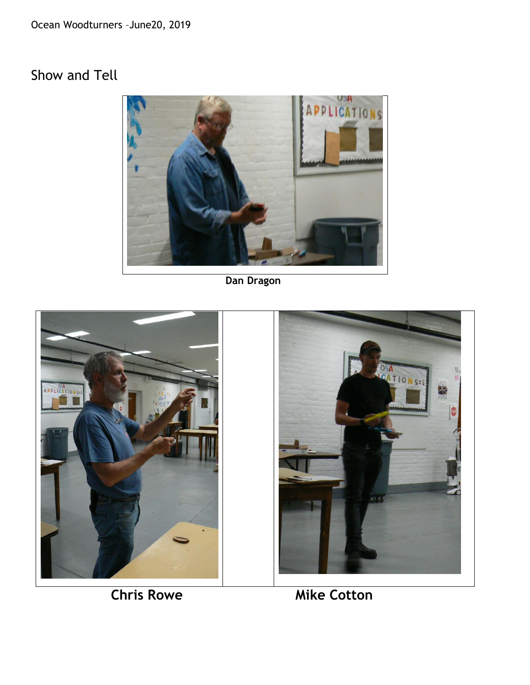Ocean Woodturners –June20, 2019

### Show and Tell



 **Dan Dragon**



**Chris Rowe Mike Cotton**